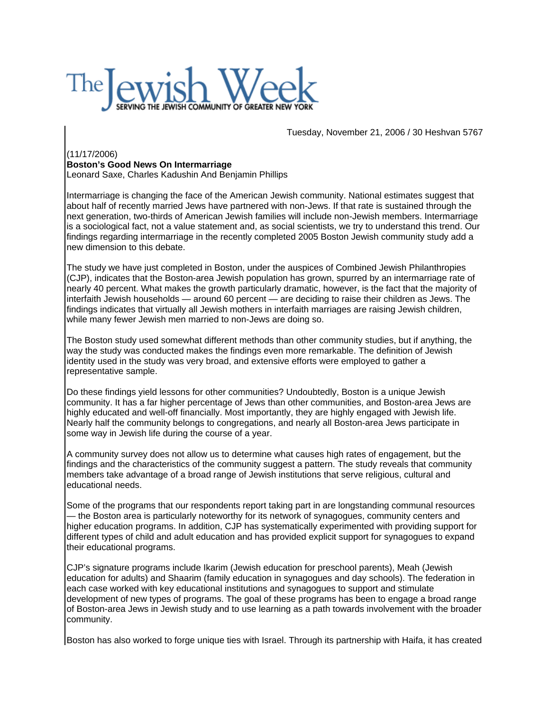

Tuesday, November 21, 2006 / 30 Heshvan 5767

## (11/17/2006)

## **Boston's Good News On Intermarriage**

Leonard Saxe, Charles Kadushin And Benjamin Phillips

Intermarriage is changing the face of the American Jewish community. National estimates suggest that about half of recently married Jews have partnered with non-Jews. If that rate is sustained through the next generation, two-thirds of American Jewish families will include non-Jewish members. Intermarriage is a sociological fact, not a value statement and, as social scientists, we try to understand this trend. Our findings regarding intermarriage in the recently completed 2005 Boston Jewish community study add a new dimension to this debate.

The study we have just completed in Boston, under the auspices of Combined Jewish Philanthropies (CJP), indicates that the Boston-area Jewish population has grown, spurred by an intermarriage rate of nearly 40 percent. What makes the growth particularly dramatic, however, is the fact that the majority of interfaith Jewish households — around 60 percent — are deciding to raise their children as Jews. The findings indicates that virtually all Jewish mothers in interfaith marriages are raising Jewish children, while many fewer Jewish men married to non-Jews are doing so.

The Boston study used somewhat different methods than other community studies, but if anything, the way the study was conducted makes the findings even more remarkable. The definition of Jewish identity used in the study was very broad, and extensive efforts were employed to gather a representative sample.

Do these findings yield lessons for other communities? Undoubtedly, Boston is a unique Jewish community. It has a far higher percentage of Jews than other communities, and Boston-area Jews are highly educated and well-off financially. Most importantly, they are highly engaged with Jewish life. Nearly half the community belongs to congregations, and nearly all Boston-area Jews participate in some way in Jewish life during the course of a year.

A community survey does not allow us to determine what causes high rates of engagement, but the findings and the characteristics of the community suggest a pattern. The study reveals that community members take advantage of a broad range of Jewish institutions that serve religious, cultural and educational needs.

Some of the programs that our respondents report taking part in are longstanding communal resources — the Boston area is particularly noteworthy for its network of synagogues, community centers and higher education programs. In addition, CJP has systematically experimented with providing support for different types of child and adult education and has provided explicit support for synagogues to expand their educational programs.

CJP's signature programs include Ikarim (Jewish education for preschool parents), Meah (Jewish education for adults) and Shaarim (family education in synagogues and day schools). The federation in each case worked with key educational institutions and synagogues to support and stimulate development of new types of programs. The goal of these programs has been to engage a broad range of Boston-area Jews in Jewish study and to use learning as a path towards involvement with the broader community.

Boston has also worked to forge unique ties with Israel. Through its partnership with Haifa, it has created